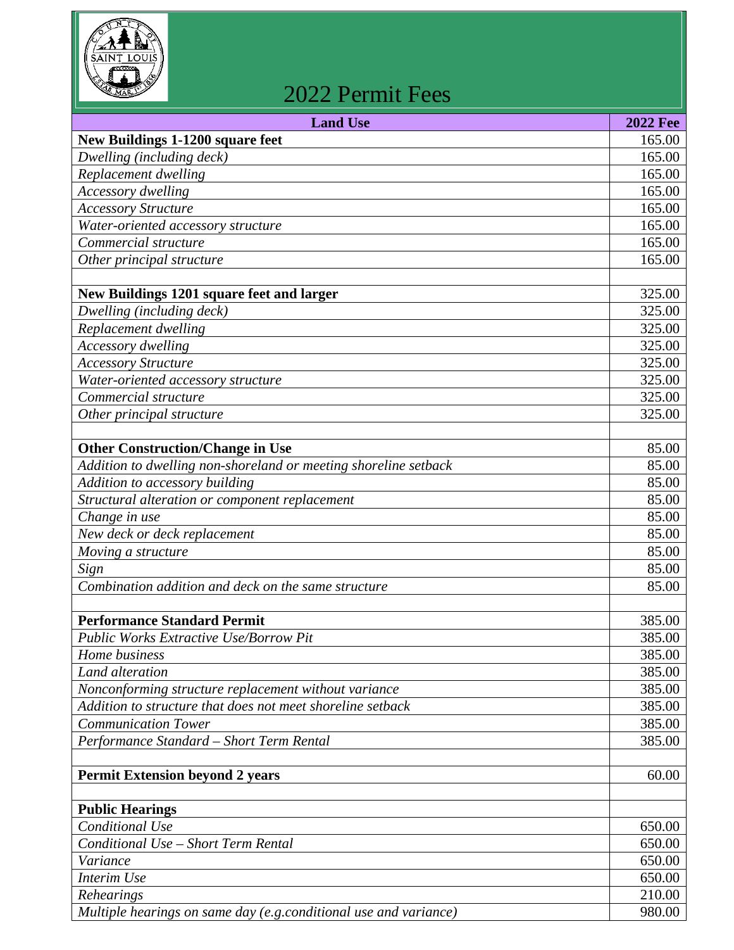

## 2022 Permit Fees

| <b>Land Use</b>                                                  | <b>2022 Fee</b>  |
|------------------------------------------------------------------|------------------|
| <b>New Buildings 1-1200 square feet</b>                          | 165.00           |
| Dwelling (including deck)                                        | 165.00           |
| Replacement dwelling                                             | 165.00           |
| Accessory dwelling                                               | 165.00           |
| <b>Accessory Structure</b>                                       | 165.00           |
| Water-oriented accessory structure                               | 165.00           |
| Commercial structure                                             | 165.00           |
| Other principal structure                                        | 165.00           |
|                                                                  |                  |
| New Buildings 1201 square feet and larger                        | 325.00<br>325.00 |
| Dwelling (including deck)                                        |                  |
| Replacement dwelling<br>Accessory dwelling                       | 325.00<br>325.00 |
| <b>Accessory Structure</b>                                       | 325.00           |
| Water-oriented accessory structure                               | 325.00           |
| Commercial structure                                             | 325.00           |
| Other principal structure                                        | 325.00           |
|                                                                  |                  |
| <b>Other Construction/Change in Use</b>                          | 85.00            |
| Addition to dwelling non-shoreland or meeting shoreline setback  | 85.00            |
| Addition to accessory building                                   | 85.00            |
| Structural alteration or component replacement                   | 85.00            |
| Change in use                                                    | 85.00            |
| New deck or deck replacement                                     | 85.00            |
| Moving a structure                                               | 85.00            |
| Sign                                                             | 85.00            |
| Combination addition and deck on the same structure              | 85.00            |
|                                                                  |                  |
| <b>Performance Standard Permit</b>                               | 385.00           |
| <b>Public Works Extractive Use/Borrow Pit</b>                    | 385.00           |
| Home business                                                    | 385.00           |
| Land alteration                                                  | 385.00           |
| Nonconforming structure replacement without variance             | 385.00           |
| Addition to structure that does not meet shoreline setback       | 385.00           |
| <b>Communication Tower</b>                                       | 385.00           |
| Performance Standard - Short Term Rental                         | 385.00           |
|                                                                  |                  |
| <b>Permit Extension beyond 2 years</b>                           | 60.00            |
| <b>Public Hearings</b>                                           |                  |
| Conditional Use                                                  | 650.00           |
| Conditional Use - Short Term Rental                              | 650.00           |
| Variance                                                         | 650.00           |
| Interim Use                                                      | 650.00           |
| Rehearings                                                       | 210.00           |
| Multiple hearings on same day (e.g.conditional use and variance) | 980.00           |